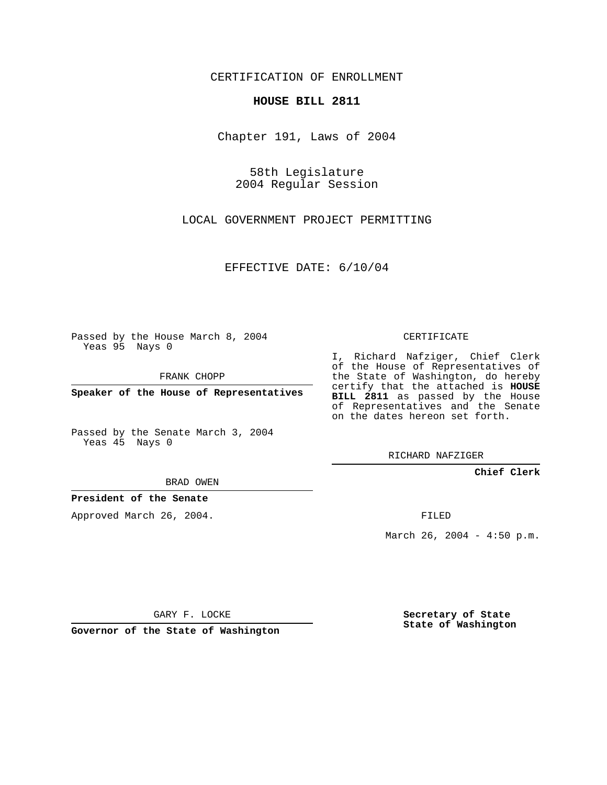CERTIFICATION OF ENROLLMENT

## **HOUSE BILL 2811**

Chapter 191, Laws of 2004

58th Legislature 2004 Regular Session

LOCAL GOVERNMENT PROJECT PERMITTING

EFFECTIVE DATE: 6/10/04

Passed by the House March 8, 2004 Yeas 95 Nays 0

FRANK CHOPP

**Speaker of the House of Representatives**

Passed by the Senate March 3, 2004 Yeas 45 Nays 0

I, Richard Nafziger, Chief Clerk of the House of Representatives of the State of Washington, do hereby certify that the attached is **HOUSE BILL 2811** as passed by the House of Representatives and the Senate on the dates hereon set forth.

CERTIFICATE

RICHARD NAFZIGER

**Chief Clerk**

BRAD OWEN

**President of the Senate**

Approved March 26, 2004.

FILED

March 26, 2004 -  $4:50$  p.m.

GARY F. LOCKE

**Governor of the State of Washington**

**Secretary of State State of Washington**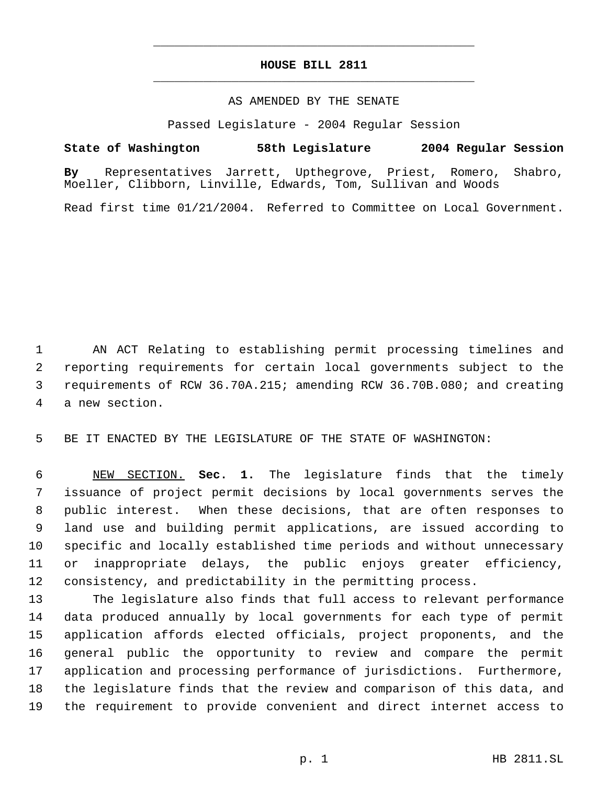## **HOUSE BILL 2811** \_\_\_\_\_\_\_\_\_\_\_\_\_\_\_\_\_\_\_\_\_\_\_\_\_\_\_\_\_\_\_\_\_\_\_\_\_\_\_\_\_\_\_\_\_

\_\_\_\_\_\_\_\_\_\_\_\_\_\_\_\_\_\_\_\_\_\_\_\_\_\_\_\_\_\_\_\_\_\_\_\_\_\_\_\_\_\_\_\_\_

## AS AMENDED BY THE SENATE

Passed Legislature - 2004 Regular Session

## **State of Washington 58th Legislature 2004 Regular Session**

**By** Representatives Jarrett, Upthegrove, Priest, Romero, Shabro, Moeller, Clibborn, Linville, Edwards, Tom, Sullivan and Woods

Read first time 01/21/2004. Referred to Committee on Local Government.

 AN ACT Relating to establishing permit processing timelines and reporting requirements for certain local governments subject to the requirements of RCW 36.70A.215; amending RCW 36.70B.080; and creating a new section.

BE IT ENACTED BY THE LEGISLATURE OF THE STATE OF WASHINGTON:

 NEW SECTION. **Sec. 1.** The legislature finds that the timely issuance of project permit decisions by local governments serves the public interest. When these decisions, that are often responses to land use and building permit applications, are issued according to specific and locally established time periods and without unnecessary or inappropriate delays, the public enjoys greater efficiency, consistency, and predictability in the permitting process.

 The legislature also finds that full access to relevant performance data produced annually by local governments for each type of permit application affords elected officials, project proponents, and the general public the opportunity to review and compare the permit application and processing performance of jurisdictions. Furthermore, the legislature finds that the review and comparison of this data, and the requirement to provide convenient and direct internet access to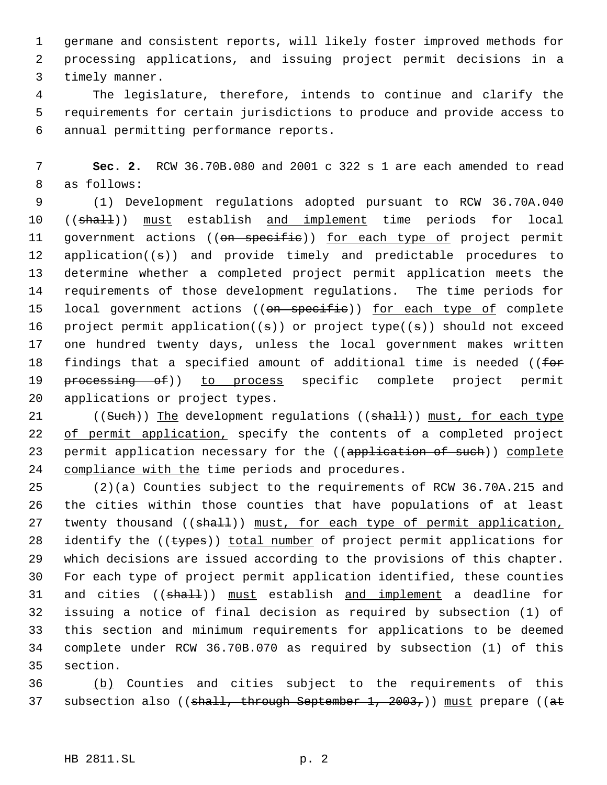germane and consistent reports, will likely foster improved methods for processing applications, and issuing project permit decisions in a timely manner.

 The legislature, therefore, intends to continue and clarify the requirements for certain jurisdictions to produce and provide access to annual permitting performance reports.

 **Sec. 2.** RCW 36.70B.080 and 2001 c 322 s 1 are each amended to read as follows:

 (1) Development regulations adopted pursuant to RCW 36.70A.040 10 ((shall)) must establish and implement time periods for local 11 government actions ((on specific)) for each type of project permit application((s)) and provide timely and predictable procedures to determine whether a completed project permit application meets the requirements of those development regulations. The time periods for 15 local government actions ((on specific)) for each type of complete 16 project permit application( $(s)$ ) or project type( $(s)$ ) should not exceed one hundred twenty days, unless the local government makes written 18 findings that a specified amount of additional time is needed ((for 19 processing of)) to process specific complete project permit applications or project types.

21 ((Such)) The development regulations ((shall)) must, for each type 22 of permit application, specify the contents of a completed project 23 permit application necessary for the ((application of such)) complete 24 compliance with the time periods and procedures.

 (2)(a) Counties subject to the requirements of RCW 36.70A.215 and the cities within those counties that have populations of at least 27 twenty thousand ((shall)) must, for each type of permit application, 28 identify the ((types)) total number of project permit applications for which decisions are issued according to the provisions of this chapter. For each type of project permit application identified, these counties 31 and cities ((shall)) must establish and implement a deadline for issuing a notice of final decision as required by subsection (1) of this section and minimum requirements for applications to be deemed complete under RCW 36.70B.070 as required by subsection (1) of this section.

 (b) Counties and cities subject to the requirements of this 37 subsection also ((shall, through September 1, 2003,)) must prepare ((at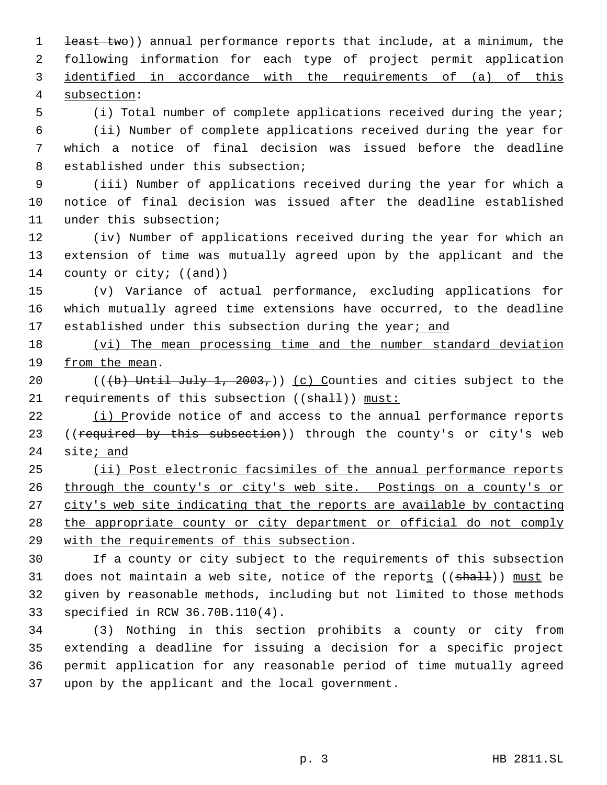1 <del>least two</del>)) annual performance reports that include, at a minimum, the following information for each type of project permit application identified in accordance with the requirements of (a) of this subsection: (i) Total number of complete applications received during the year;

 (ii) Number of complete applications received during the year for which a notice of final decision was issued before the deadline established under this subsection;

 (iii) Number of applications received during the year for which a notice of final decision was issued after the deadline established under this subsection;

 (iv) Number of applications received during the year for which an extension of time was mutually agreed upon by the applicant and the 14 county or city;  $((and))$ 

 (v) Variance of actual performance, excluding applications for which mutually agreed time extensions have occurred, to the deadline 17 established under this subsection during the year; and

 (vi) The mean processing time and the number standard deviation from the mean.

20 (( $\left(\frac{b}{b}\right)$  Until July 1, 2003,)) (c) Counties and cities subject to the 21 requirements of this subsection ((shall)) must:

 (i) Provide notice of and access to the annual performance reports 23 ((required by this subsection)) through the county's or city's web site; and

 (ii) Post electronic facsimiles of the annual performance reports 26 through the county's or city's web site. Postings on a county's or 27 city's web site indicating that the reports are available by contacting 28 the appropriate county or city department or official do not comply with the requirements of this subsection.

 If a county or city subject to the requirements of this subsection 31 does not maintain a web site, notice of the reports  $((shalt))$  must be given by reasonable methods, including but not limited to those methods specified in RCW 36.70B.110(4).

 (3) Nothing in this section prohibits a county or city from extending a deadline for issuing a decision for a specific project permit application for any reasonable period of time mutually agreed upon by the applicant and the local government.